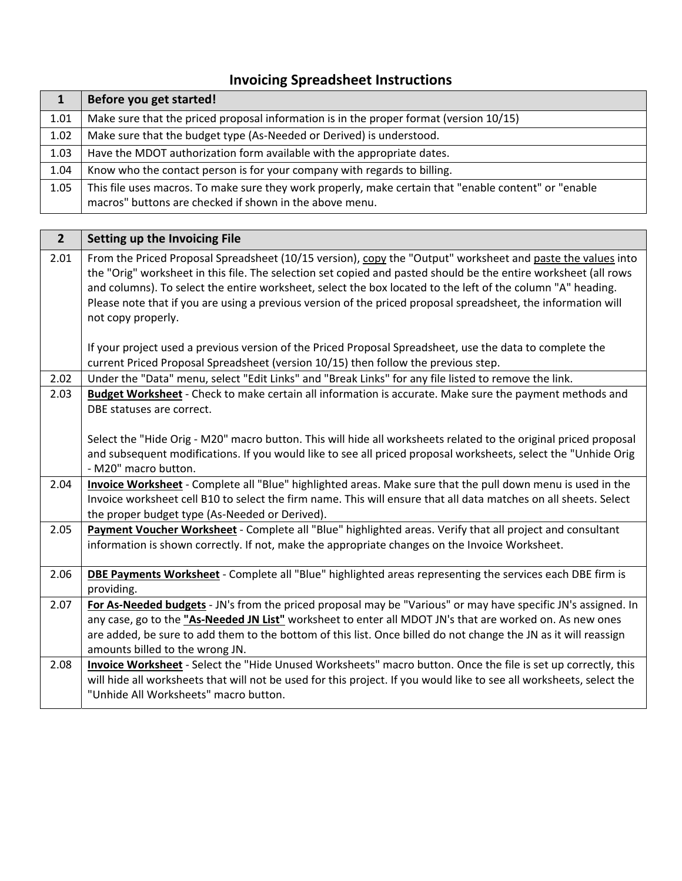## **Invoicing Spreadsheet Instructions**

|      | Before you get started!                                                                                                                                          |
|------|------------------------------------------------------------------------------------------------------------------------------------------------------------------|
| 1.01 | Make sure that the priced proposal information is in the proper format (version 10/15)                                                                           |
| 1.02 | Make sure that the budget type (As-Needed or Derived) is understood.                                                                                             |
| 1.03 | Have the MDOT authorization form available with the appropriate dates.                                                                                           |
| 1.04 | Know who the contact person is for your company with regards to billing.                                                                                         |
| 1.05 | This file uses macros. To make sure they work properly, make certain that "enable content" or "enable<br>macros" buttons are checked if shown in the above menu. |

| 2 <sup>1</sup> | Setting up the Invoicing File                                                                                                                                                                                                                                                                                                                                                                                                                                                                                                                                                                    |
|----------------|--------------------------------------------------------------------------------------------------------------------------------------------------------------------------------------------------------------------------------------------------------------------------------------------------------------------------------------------------------------------------------------------------------------------------------------------------------------------------------------------------------------------------------------------------------------------------------------------------|
| 2.01           | From the Priced Proposal Spreadsheet (10/15 version), copy the "Output" worksheet and paste the values into<br>the "Orig" worksheet in this file. The selection set copied and pasted should be the entire worksheet (all rows<br>and columns). To select the entire worksheet, select the box located to the left of the column "A" heading.<br>Please note that if you are using a previous version of the priced proposal spreadsheet, the information will<br>not copy properly.<br>If your project used a previous version of the Priced Proposal Spreadsheet, use the data to complete the |
| 2.02           | current Priced Proposal Spreadsheet (version 10/15) then follow the previous step.<br>Under the "Data" menu, select "Edit Links" and "Break Links" for any file listed to remove the link.                                                                                                                                                                                                                                                                                                                                                                                                       |
| 2.03           | Budget Worksheet - Check to make certain all information is accurate. Make sure the payment methods and<br>DBE statuses are correct.                                                                                                                                                                                                                                                                                                                                                                                                                                                             |
|                | Select the "Hide Orig - M20" macro button. This will hide all worksheets related to the original priced proposal<br>and subsequent modifications. If you would like to see all priced proposal worksheets, select the "Unhide Orig<br>- M20" macro button.                                                                                                                                                                                                                                                                                                                                       |
| 2.04           | Invoice Worksheet - Complete all "Blue" highlighted areas. Make sure that the pull down menu is used in the<br>Invoice worksheet cell B10 to select the firm name. This will ensure that all data matches on all sheets. Select<br>the proper budget type (As-Needed or Derived).                                                                                                                                                                                                                                                                                                                |
| 2.05           | Payment Voucher Worksheet - Complete all "Blue" highlighted areas. Verify that all project and consultant<br>information is shown correctly. If not, make the appropriate changes on the Invoice Worksheet.                                                                                                                                                                                                                                                                                                                                                                                      |
| 2.06           | DBE Payments Worksheet - Complete all "Blue" highlighted areas representing the services each DBE firm is<br>providing.                                                                                                                                                                                                                                                                                                                                                                                                                                                                          |
| 2.07           | For As-Needed budgets - JN's from the priced proposal may be "Various" or may have specific JN's assigned. In<br>any case, go to the "As-Needed JN List" worksheet to enter all MDOT JN's that are worked on. As new ones<br>are added, be sure to add them to the bottom of this list. Once billed do not change the JN as it will reassign<br>amounts billed to the wrong JN.                                                                                                                                                                                                                  |
| 2.08           | Invoice Worksheet - Select the "Hide Unused Worksheets" macro button. Once the file is set up correctly, this<br>will hide all worksheets that will not be used for this project. If you would like to see all worksheets, select the<br>"Unhide All Worksheets" macro button.                                                                                                                                                                                                                                                                                                                   |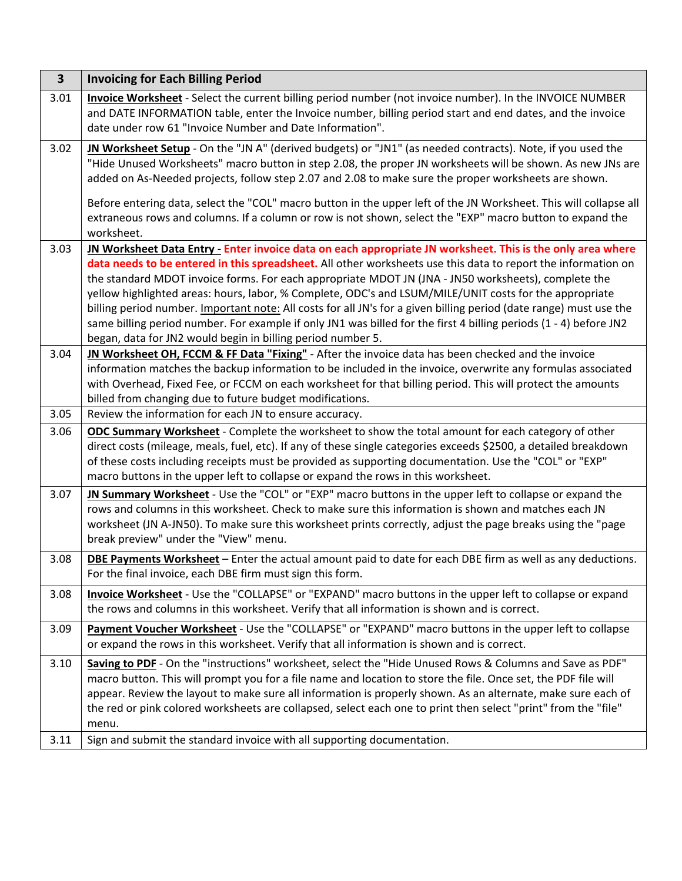| $\mathbf{3}$ | <b>Invoicing for Each Billing Period</b>                                                                                                                                                                                                                                                                                                                                                                                                                                                                                                                                                                                                                                                                                                               |
|--------------|--------------------------------------------------------------------------------------------------------------------------------------------------------------------------------------------------------------------------------------------------------------------------------------------------------------------------------------------------------------------------------------------------------------------------------------------------------------------------------------------------------------------------------------------------------------------------------------------------------------------------------------------------------------------------------------------------------------------------------------------------------|
| 3.01         | Invoice Worksheet - Select the current billing period number (not invoice number). In the INVOICE NUMBER<br>and DATE INFORMATION table, enter the Invoice number, billing period start and end dates, and the invoice<br>date under row 61 "Invoice Number and Date Information".                                                                                                                                                                                                                                                                                                                                                                                                                                                                      |
| 3.02         | IN Worksheet Setup - On the "JN A" (derived budgets) or "JN1" (as needed contracts). Note, if you used the<br>"Hide Unused Worksheets" macro button in step 2.08, the proper JN worksheets will be shown. As new JNs are<br>added on As-Needed projects, follow step 2.07 and 2.08 to make sure the proper worksheets are shown.                                                                                                                                                                                                                                                                                                                                                                                                                       |
|              | Before entering data, select the "COL" macro button in the upper left of the JN Worksheet. This will collapse all<br>extraneous rows and columns. If a column or row is not shown, select the "EXP" macro button to expand the<br>worksheet.                                                                                                                                                                                                                                                                                                                                                                                                                                                                                                           |
| 3.03         | JN Worksheet Data Entry - Enter invoice data on each appropriate JN worksheet. This is the only area where<br>data needs to be entered in this spreadsheet. All other worksheets use this data to report the information on<br>the standard MDOT invoice forms. For each appropriate MDOT JN (JNA - JN50 worksheets), complete the<br>yellow highlighted areas: hours, labor, % Complete, ODC's and LSUM/MILE/UNIT costs for the appropriate<br>billing period number. Important note: All costs for all JN's for a given billing period (date range) must use the<br>same billing period number. For example if only JN1 was billed for the first 4 billing periods (1 - 4) before JN2<br>began, data for JN2 would begin in billing period number 5. |
| 3.04         | JN Worksheet OH, FCCM & FF Data "Fixing" - After the invoice data has been checked and the invoice<br>information matches the backup information to be included in the invoice, overwrite any formulas associated<br>with Overhead, Fixed Fee, or FCCM on each worksheet for that billing period. This will protect the amounts<br>billed from changing due to future budget modifications.                                                                                                                                                                                                                                                                                                                                                            |
| 3.05         | Review the information for each JN to ensure accuracy.                                                                                                                                                                                                                                                                                                                                                                                                                                                                                                                                                                                                                                                                                                 |
| 3.06         | <b>ODC Summary Worksheet</b> - Complete the worksheet to show the total amount for each category of other<br>direct costs (mileage, meals, fuel, etc). If any of these single categories exceeds \$2500, a detailed breakdown<br>of these costs including receipts must be provided as supporting documentation. Use the "COL" or "EXP"<br>macro buttons in the upper left to collapse or expand the rows in this worksheet.                                                                                                                                                                                                                                                                                                                           |
| 3.07         | IN Summary Worksheet - Use the "COL" or "EXP" macro buttons in the upper left to collapse or expand the<br>rows and columns in this worksheet. Check to make sure this information is shown and matches each JN<br>worksheet (JN A-JN50). To make sure this worksheet prints correctly, adjust the page breaks using the "page<br>break preview" under the "View" menu.                                                                                                                                                                                                                                                                                                                                                                                |
| 3.08         | <b>DBE Payments Worksheet</b> - Enter the actual amount paid to date for each DBE firm as well as any deductions.<br>For the final invoice, each DBE firm must sign this form.                                                                                                                                                                                                                                                                                                                                                                                                                                                                                                                                                                         |
| 3.08         | Invoice Worksheet - Use the "COLLAPSE" or "EXPAND" macro buttons in the upper left to collapse or expand<br>the rows and columns in this worksheet. Verify that all information is shown and is correct.                                                                                                                                                                                                                                                                                                                                                                                                                                                                                                                                               |
| 3.09         | Payment Voucher Worksheet - Use the "COLLAPSE" or "EXPAND" macro buttons in the upper left to collapse<br>or expand the rows in this worksheet. Verify that all information is shown and is correct.                                                                                                                                                                                                                                                                                                                                                                                                                                                                                                                                                   |
| 3.10         | Saving to PDF - On the "instructions" worksheet, select the "Hide Unused Rows & Columns and Save as PDF"<br>macro button. This will prompt you for a file name and location to store the file. Once set, the PDF file will<br>appear. Review the layout to make sure all information is properly shown. As an alternate, make sure each of<br>the red or pink colored worksheets are collapsed, select each one to print then select "print" from the "file"<br>menu.                                                                                                                                                                                                                                                                                  |
| 3.11         | Sign and submit the standard invoice with all supporting documentation.                                                                                                                                                                                                                                                                                                                                                                                                                                                                                                                                                                                                                                                                                |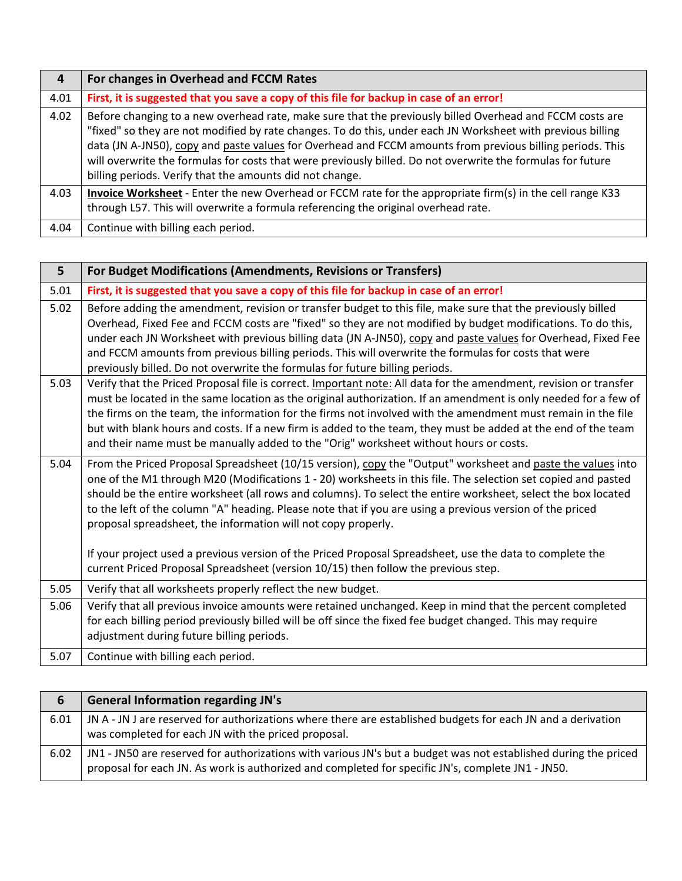| 4    | For changes in Overhead and FCCM Rates                                                                                                                                                                                                                                                                                                                                                                                                                                                                          |
|------|-----------------------------------------------------------------------------------------------------------------------------------------------------------------------------------------------------------------------------------------------------------------------------------------------------------------------------------------------------------------------------------------------------------------------------------------------------------------------------------------------------------------|
| 4.01 | First, it is suggested that you save a copy of this file for backup in case of an error!                                                                                                                                                                                                                                                                                                                                                                                                                        |
| 4.02 | Before changing to a new overhead rate, make sure that the previously billed Overhead and FCCM costs are<br>"fixed" so they are not modified by rate changes. To do this, under each JN Worksheet with previous billing<br>data (JN A-JN50), copy and paste values for Overhead and FCCM amounts from previous billing periods. This<br>will overwrite the formulas for costs that were previously billed. Do not overwrite the formulas for future<br>billing periods. Verify that the amounts did not change. |
| 4.03 | Invoice Worksheet - Enter the new Overhead or FCCM rate for the appropriate firm(s) in the cell range K33<br>through L57. This will overwrite a formula referencing the original overhead rate.                                                                                                                                                                                                                                                                                                                 |
| 4.04 | Continue with billing each period.                                                                                                                                                                                                                                                                                                                                                                                                                                                                              |

| 5 <sup>5</sup> | For Budget Modifications (Amendments, Revisions or Transfers)                                                                                                                                                                                                                                                                                                                                                                                                                                                                                                                                                                                                                                                                 |
|----------------|-------------------------------------------------------------------------------------------------------------------------------------------------------------------------------------------------------------------------------------------------------------------------------------------------------------------------------------------------------------------------------------------------------------------------------------------------------------------------------------------------------------------------------------------------------------------------------------------------------------------------------------------------------------------------------------------------------------------------------|
| 5.01           | First, it is suggested that you save a copy of this file for backup in case of an error!                                                                                                                                                                                                                                                                                                                                                                                                                                                                                                                                                                                                                                      |
| 5.02           | Before adding the amendment, revision or transfer budget to this file, make sure that the previously billed<br>Overhead, Fixed Fee and FCCM costs are "fixed" so they are not modified by budget modifications. To do this,<br>under each JN Worksheet with previous billing data (JN A-JN50), copy and paste values for Overhead, Fixed Fee<br>and FCCM amounts from previous billing periods. This will overwrite the formulas for costs that were<br>previously billed. Do not overwrite the formulas for future billing periods.                                                                                                                                                                                          |
| 5.03           | Verify that the Priced Proposal file is correct. Important note: All data for the amendment, revision or transfer<br>must be located in the same location as the original authorization. If an amendment is only needed for a few of<br>the firms on the team, the information for the firms not involved with the amendment must remain in the file<br>but with blank hours and costs. If a new firm is added to the team, they must be added at the end of the team<br>and their name must be manually added to the "Orig" worksheet without hours or costs.                                                                                                                                                                |
| 5.04           | From the Priced Proposal Spreadsheet (10/15 version), copy the "Output" worksheet and paste the values into<br>one of the M1 through M20 (Modifications 1 - 20) worksheets in this file. The selection set copied and pasted<br>should be the entire worksheet (all rows and columns). To select the entire worksheet, select the box located<br>to the left of the column "A" heading. Please note that if you are using a previous version of the priced<br>proposal spreadsheet, the information will not copy properly.<br>If your project used a previous version of the Priced Proposal Spreadsheet, use the data to complete the<br>current Priced Proposal Spreadsheet (version 10/15) then follow the previous step. |
| 5.05           | Verify that all worksheets properly reflect the new budget.                                                                                                                                                                                                                                                                                                                                                                                                                                                                                                                                                                                                                                                                   |
| 5.06           | Verify that all previous invoice amounts were retained unchanged. Keep in mind that the percent completed<br>for each billing period previously billed will be off since the fixed fee budget changed. This may require<br>adjustment during future billing periods.                                                                                                                                                                                                                                                                                                                                                                                                                                                          |
| 5.07           | Continue with billing each period.                                                                                                                                                                                                                                                                                                                                                                                                                                                                                                                                                                                                                                                                                            |

| 6    | <b>General Information regarding JN's</b>                                                                                                                                                                            |
|------|----------------------------------------------------------------------------------------------------------------------------------------------------------------------------------------------------------------------|
| 6.01 | JN A - JN J are reserved for authorizations where there are established budgets for each JN and a derivation<br>was completed for each JN with the priced proposal.                                                  |
| 6.02 | JN1 - JN50 are reserved for authorizations with various JN's but a budget was not established during the priced<br>proposal for each JN. As work is authorized and completed for specific JN's, complete JN1 - JN50. |